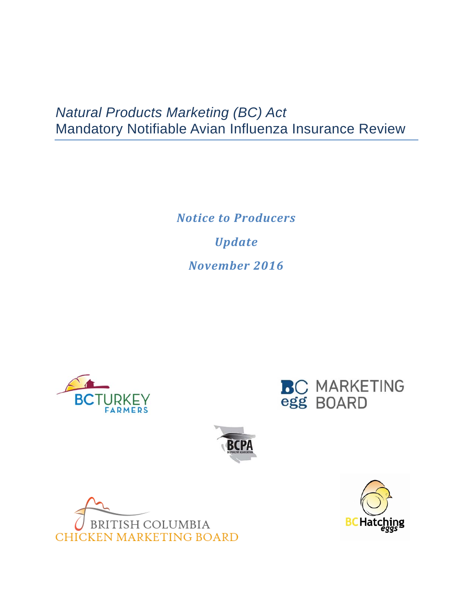## *Natural Products Marketing (BC) Act*  Mandatory Notifiable Avian Influenza Insurance Review

*Notice to Producers Update November 2016*